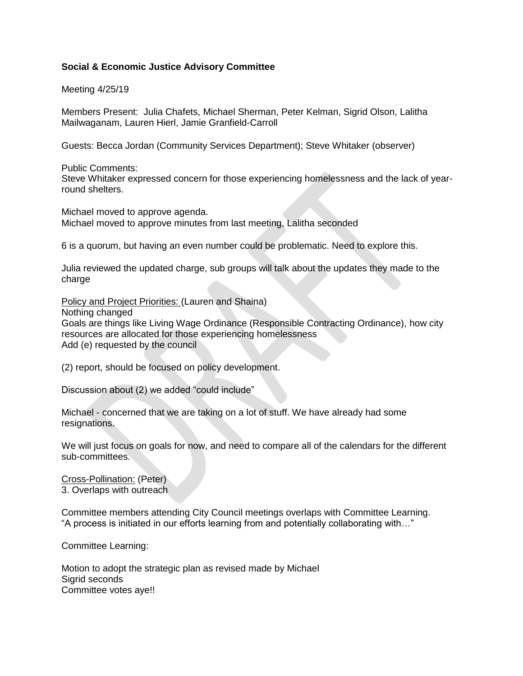## **Social & Economic Justice Advisory Committee**

Meeting 4/25/19

Members Present: Julia Chafets, Michael Sherman, Peter Kelman, Sigrid Olson, Lalitha Mailwaganam, Lauren Hierl, Jamie Granfield-Carroll

Guests: Becca Jordan (Community Services Department); Steve Whitaker (observer)

Public Comments: Steve Whitaker expressed concern for those experiencing homelessness and the lack of yearround shelters.

Michael moved to approve agenda. Michael moved to approve minutes from last meeting, Lalitha seconded

6 is a quorum, but having an even number could be problematic. Need to explore this.

Julia reviewed the updated charge, sub groups will talk about the updates they made to the charge

Policy and Project Priorities: (Lauren and Shaina)

Nothing changed

Goals are things like Living Wage Ordinance (Responsible Contracting Ordinance), how city resources are allocated for those experiencing homelessness Add (e) requested by the council

(2) report, should be focused on policy development.

Discussion about (2) we added "could include"

Michael - concerned that we are taking on a lot of stuff. We have already had some resignations.

We will just focus on goals for now, and need to compare all of the calendars for the different sub-committees.

Cross-Pollination: (Peter) 3. Overlaps with outreach

Committee members attending City Council meetings overlaps with Committee Learning. "A process is initiated in our efforts learning from and potentially collaborating with…"

Committee Learning:

Motion to adopt the strategic plan as revised made by Michael Sigrid seconds Committee votes aye!!